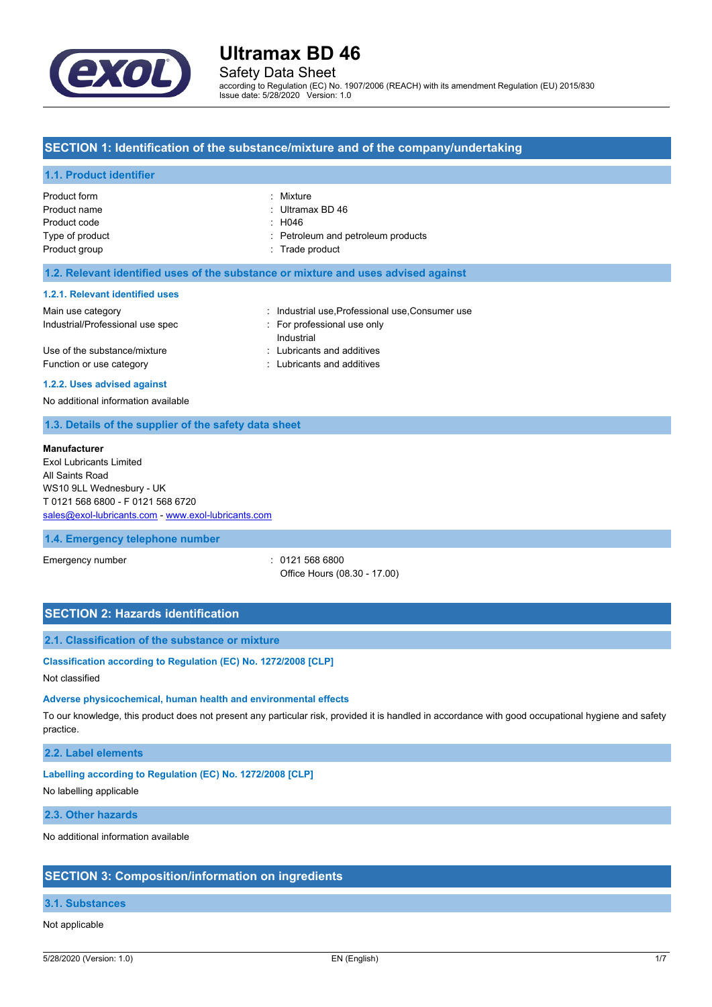

Safety Data Sheet

according to Regulation (EC) No. 1907/2006 (REACH) with its amendment Regulation (EU) 2015/830 Issue date: 5/28/2020 Version: 1.0

## **SECTION 1: Identification of the substance/mixture and of the company/undertaking**

#### **1.1. Product identifier**

| Product form    | : Mixture                          |
|-----------------|------------------------------------|
| Product name    | : Ultramax BD 46                   |
| Product code    | : H046                             |
| Type of product | : Petroleum and petroleum products |
| Product group   | : Trade product                    |
|                 |                                    |

#### **1.2. Relevant identified uses of the substance or mixture and uses advised against**

#### **1.2.1. Relevant identified uses**

| Main use category                | : Industrial use Professional use Consumer use |
|----------------------------------|------------------------------------------------|
| Industrial/Professional use spec | For professional use only                      |
|                                  | Industrial                                     |
| Use of the substance/mixture     | : Lubricants and additives                     |
| Function or use category         | : Lubricants and additives                     |
|                                  |                                                |

#### **1.2.2. Uses advised against**

No additional information available

## **1.3. Details of the supplier of the safety data sheet**

#### **Manufacturer**

Exol Lubricants Limited All Saints Road WS10 9LL Wednesbury - UK T 0121 568 6800 - F 0121 568 6720 [sales@exol-lubricants.com](mailto:sales@exol-lubricants.com) - <www.exol-lubricants.com>

#### **1.4. Emergency telephone number**

Emergency number : 0121 568 6800 Office Hours (08.30 - 17.00)

# **SECTION 2: Hazards identification**

# **2.1. Classification of the substance or mixture**

### **Classification according to Regulation (EC) No. 1272/2008 [CLP]**

Not classified

### **Adverse physicochemical, human health and environmental effects**

To our knowledge, this product does not present any particular risk, provided it is handled in accordance with good occupational hygiene and safety practice.

### **2.2. Label elements**

#### **Labelling according to Regulation (EC) No. 1272/2008 [CLP]**

No labelling applicable

#### **2.3. Other hazards**

No additional information available

#### **SECTION 3: Composition/information on ingredients**

# **3.1. Substances**

### Not applicable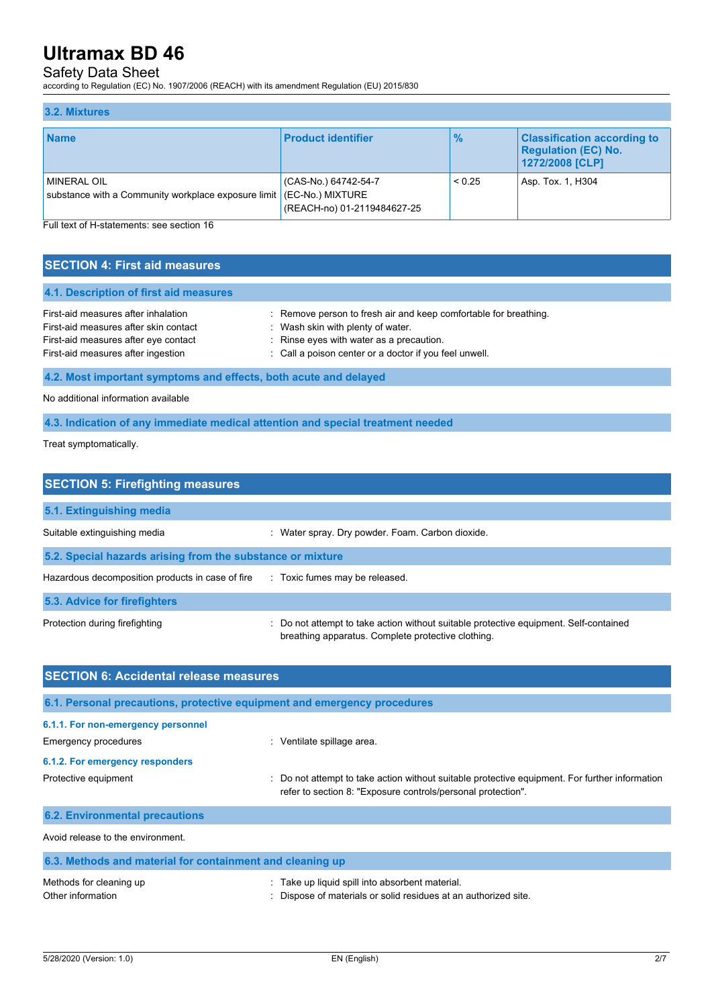# Safety Data Sheet

according to Regulation (EC) No. 1907/2006 (REACH) with its amendment Regulation (EU) 2015/830

#### **3.2. Mixtures Name Product identifier % Classification according to Regulation (EC) No. 1272/2008 [CLP]** MINERAL OIL substance with a Community workplace exposure limit (CAS-No.) 64742-54-7 (EC-No.) MIXTURE (REACH-no) 01-2119484627-25  $< 0.25$  Asp. Tox. 1, H304

Full text of H-statements: see section 16

# **SECTION 4: First aid measures**

| : Remove person to fresh air and keep comfortable for breathing. |
|------------------------------------------------------------------|
| : Wash skin with plenty of water.                                |
| : Rinse eyes with water as a precaution.                         |
| : Call a poison center or a doctor if you feel unwell.           |
|                                                                  |

# **4.2. Most important symptoms and effects, both acute and delayed**

No additional information available

## **4.3. Indication of any immediate medical attention and special treatment needed**

Treat symptomatically.

| <b>SECTION 5: Firefighting measures</b>                    |                                                                                                                                             |  |  |
|------------------------------------------------------------|---------------------------------------------------------------------------------------------------------------------------------------------|--|--|
| 5.1. Extinguishing media                                   |                                                                                                                                             |  |  |
| Suitable extinguishing media                               | : Water spray. Dry powder. Foam. Carbon dioxide.                                                                                            |  |  |
| 5.2. Special hazards arising from the substance or mixture |                                                                                                                                             |  |  |
| Hazardous decomposition products in case of fire           | : Toxic fumes may be released.                                                                                                              |  |  |
| 5.3. Advice for firefighters                               |                                                                                                                                             |  |  |
| Protection during firefighting                             | : Do not attempt to take action without suitable protective equipment. Self-contained<br>breathing apparatus. Complete protective clothing. |  |  |

| <b>SECTION 6: Accidental release measures</b>                            |                                                                                                                                                                |  |  |
|--------------------------------------------------------------------------|----------------------------------------------------------------------------------------------------------------------------------------------------------------|--|--|
| 6.1. Personal precautions, protective equipment and emergency procedures |                                                                                                                                                                |  |  |
| 6.1.1. For non-emergency personnel                                       |                                                                                                                                                                |  |  |
| Emergency procedures                                                     | : Ventilate spillage area.                                                                                                                                     |  |  |
| 6.1.2. For emergency responders                                          |                                                                                                                                                                |  |  |
| Protective equipment                                                     | : Do not attempt to take action without suitable protective equipment. For further information<br>refer to section 8: "Exposure controls/personal protection". |  |  |
| <b>6.2. Environmental precautions</b>                                    |                                                                                                                                                                |  |  |
| Avoid release to the environment.                                        |                                                                                                                                                                |  |  |
| 6.3. Methods and material for containment and cleaning up                |                                                                                                                                                                |  |  |
| Methods for cleaning up<br>Other information                             | : Take up liquid spill into absorbent material.<br>Dispose of materials or solid residues at an authorized site.                                               |  |  |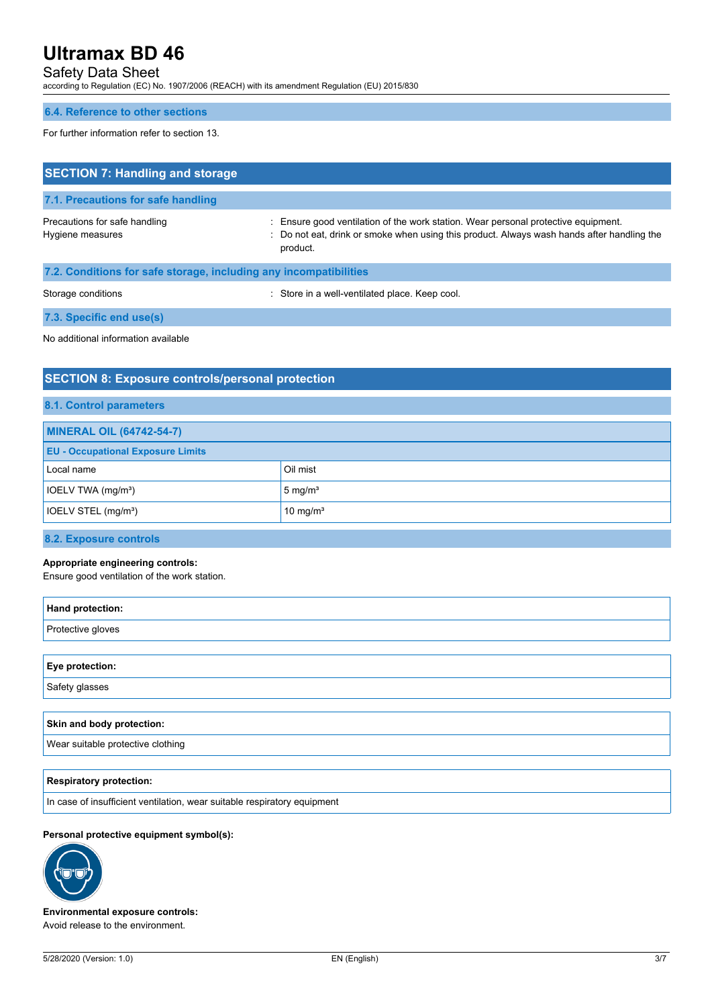# Safety Data Sheet

according to Regulation (EC) No. 1907/2006 (REACH) with its amendment Regulation (EU) 2015/830

#### **6.4. Reference to other sections**

For further information refer to section 13.

| <b>SECTION 7: Handling and storage</b>                            |                                                                                                                                                                                              |  |
|-------------------------------------------------------------------|----------------------------------------------------------------------------------------------------------------------------------------------------------------------------------------------|--|
| 7.1. Precautions for safe handling                                |                                                                                                                                                                                              |  |
| Precautions for safe handling<br>Hygiene measures                 | : Ensure good ventilation of the work station. Wear personal protective equipment.<br>: Do not eat, drink or smoke when using this product. Always wash hands after handling the<br>product. |  |
| 7.2. Conditions for safe storage, including any incompatibilities |                                                                                                                                                                                              |  |
| Storage conditions                                                | : Store in a well-ventilated place. Keep cool.                                                                                                                                               |  |
| 7.3. Specific end use(s)                                          |                                                                                                                                                                                              |  |

No additional information available

# **SECTION 8: Exposure controls/personal protection**

|  | 8.1. Control parameters |
|--|-------------------------|
|  |                         |

| <b>MINERAL OIL (64742-54-7)</b>          |                      |  |
|------------------------------------------|----------------------|--|
| <b>EU - Occupational Exposure Limits</b> |                      |  |
| Local name                               | Oil mist             |  |
| IOELV TWA (mg/m <sup>3</sup> )           | $5 \text{ mg/m}^3$   |  |
| IOELV STEL (mg/m <sup>3</sup> )          | 10 mg/m <sup>3</sup> |  |

### **8.2. Exposure controls**

#### **Appropriate engineering controls:**

Ensure good ventilation of the work station.

| Hand protection:  |  |
|-------------------|--|
| Protective gloves |  |
|                   |  |
| Eye protection:   |  |
| Safety glasses    |  |
|                   |  |

| Skin and body protection:         |
|-----------------------------------|
| Wear suitable protective clothing |
|                                   |

### **Respiratory protection:**

In case of insufficient ventilation, wear suitable respiratory equipment

## **Personal protective equipment symbol(s):**



**Environmental exposure controls:** Avoid release to the environment.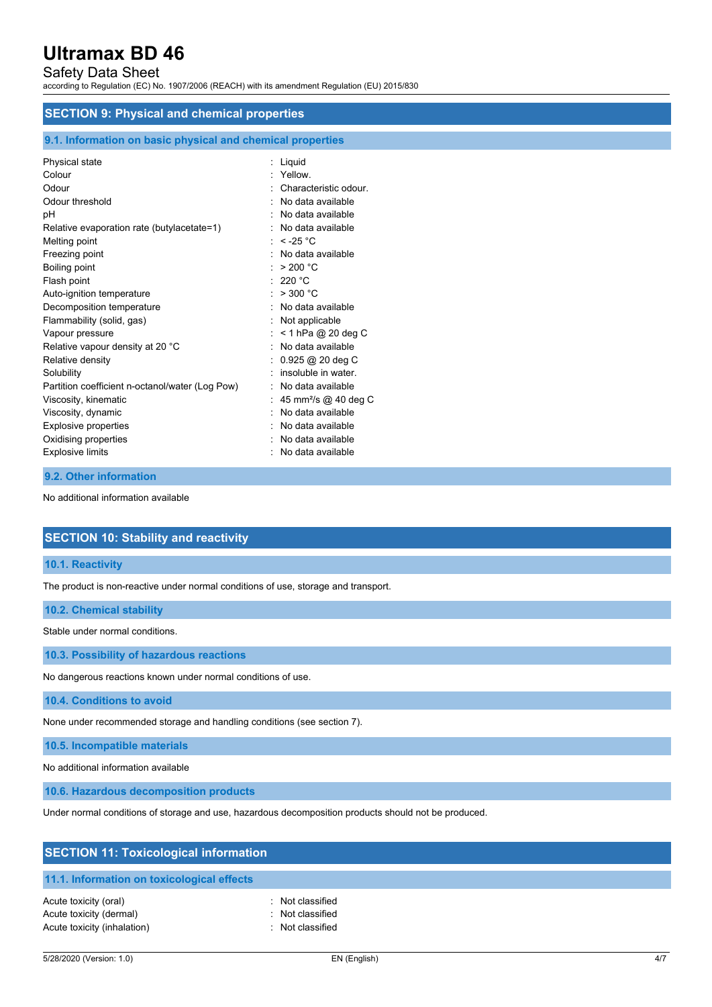# Safety Data Sheet

according to Regulation (EC) No. 1907/2006 (REACH) with its amendment Regulation (EU) 2015/830

# **SECTION 9: Physical and chemical properties**

#### **9.1. Information on basic physical and chemical properties**

| Physical state<br>Colour<br>Odour<br>Odour threshold                                                                                                        | Liquid<br>Yellow.<br>Characteristic odour<br>$:$ No data available                                                                             |
|-------------------------------------------------------------------------------------------------------------------------------------------------------------|------------------------------------------------------------------------------------------------------------------------------------------------|
| рH<br>Relative evaporation rate (butylacetate=1)<br>Melting point<br>Freezing point                                                                         | No data available<br>No data available<br>: $<$ -25 °C<br>No data available                                                                    |
| Boiling point<br>Flash point<br>Auto-ignition temperature<br>Decomposition temperature                                                                      | > 200 °C<br>: 220 °C<br>: $>300 °C$<br>No data available                                                                                       |
| Flammability (solid, gas)<br>Vapour pressure<br>Relative vapour density at 20 °C<br>Relative density                                                        | Not applicable<br>$<$ 1 hPa @ 20 deg C<br>No data available<br>$0.925$ @ 20 deg C                                                              |
| Solubility<br>Partition coefficient n-octanol/water (Log Pow)<br>Viscosity, kinematic<br>Viscosity, dynamic<br>Explosive properties<br>Oxidising properties | insoluble in water<br>No data available<br>45 mm <sup>2</sup> /s @ 40 deg C<br>No data available<br>$:$ No data available<br>No data available |
| <b>Explosive limits</b>                                                                                                                                     | No data available                                                                                                                              |

# **9.2. Other information**

No additional information available

# **SECTION 10: Stability and reactivity**

### **10.1. Reactivity**

The product is non-reactive under normal conditions of use, storage and transport.

## **10.2. Chemical stability**

Stable under normal conditions.

**10.3. Possibility of hazardous reactions**

No dangerous reactions known under normal conditions of use.

**10.4. Conditions to avoid**

None under recommended storage and handling conditions (see section 7).

**10.5. Incompatible materials**

No additional information available

**10.6. Hazardous decomposition products**

Under normal conditions of storage and use, hazardous decomposition products should not be produced.

| <b>SECTION 11: Toxicological information</b> |                  |  |
|----------------------------------------------|------------------|--|
| 11.1. Information on toxicological effects   |                  |  |
| Acute toxicity (oral)                        | : Not classified |  |
| Acute toxicity (dermal)                      | : Not classified |  |
| Acute toxicity (inhalation)                  | Not classified   |  |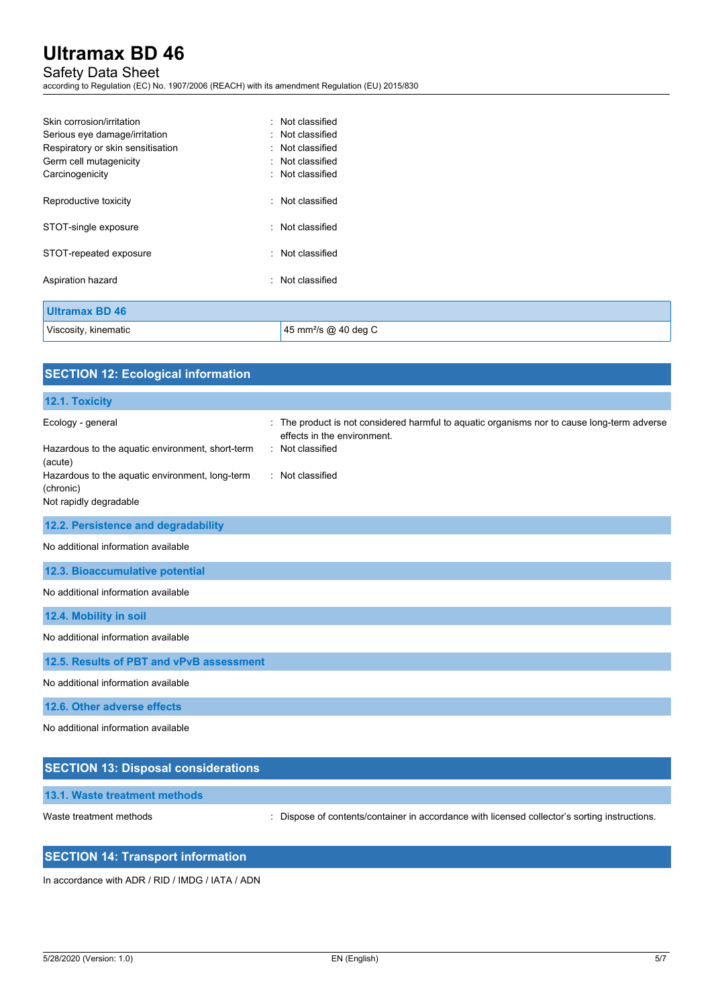# Safety Data Sheet

according to Regulation (EC) No. 1907/2006 (REACH) with its amendment Regulation (EU) 2015/830

| Skin corrosion/irritation         | : Not classified                 |  |
|-----------------------------------|----------------------------------|--|
| Serious eye damage/irritation     | : Not classified                 |  |
| Respiratory or skin sensitisation | : Not classified                 |  |
| Germ cell mutagenicity            | : Not classified                 |  |
| Carcinogenicity                   | : Not classified                 |  |
| Reproductive toxicity             | : Not classified                 |  |
| STOT-single exposure              | : Not classified                 |  |
| STOT-repeated exposure            | : Not classified                 |  |
| Aspiration hazard                 | : Not classified                 |  |
| <b>Ultramax BD 46</b>             |                                  |  |
|                                   |                                  |  |
| Viscosity, kinematic              | 45 mm <sup>2</sup> /s @ 40 deg C |  |

| <b>SECTION 12: Ecological information</b>                                                                                                                                  |                                                                                                                                                                    |
|----------------------------------------------------------------------------------------------------------------------------------------------------------------------------|--------------------------------------------------------------------------------------------------------------------------------------------------------------------|
| 12.1. Toxicity                                                                                                                                                             |                                                                                                                                                                    |
| Ecology - general<br>Hazardous to the aquatic environment, short-term<br>(acute)<br>Hazardous to the aquatic environment, long-term<br>(chronic)<br>Not rapidly degradable | : The product is not considered harmful to aquatic organisms nor to cause long-term adverse<br>effects in the environment.<br>: Not classified<br>: Not classified |
| 12.2. Persistence and degradability                                                                                                                                        |                                                                                                                                                                    |
| No additional information available                                                                                                                                        |                                                                                                                                                                    |
| 12.3. Bioaccumulative potential                                                                                                                                            |                                                                                                                                                                    |
| No additional information available                                                                                                                                        |                                                                                                                                                                    |
| 12.4. Mobility in soil                                                                                                                                                     |                                                                                                                                                                    |
| No additional information available                                                                                                                                        |                                                                                                                                                                    |
| 12.5. Results of PBT and vPvB assessment                                                                                                                                   |                                                                                                                                                                    |
| No additional information available                                                                                                                                        |                                                                                                                                                                    |
| 12.6. Other adverse effects                                                                                                                                                |                                                                                                                                                                    |
| No additional information available                                                                                                                                        |                                                                                                                                                                    |
| <b>SECTION 13: Disposal considerations</b>                                                                                                                                 |                                                                                                                                                                    |

# **13.1. Waste treatment methods**

Waste treatment methods : Dispose of contents/container in accordance with licensed collector's sorting instructions.

# **SECTION 14: Transport information**

In accordance with ADR / RID / IMDG / IATA / ADN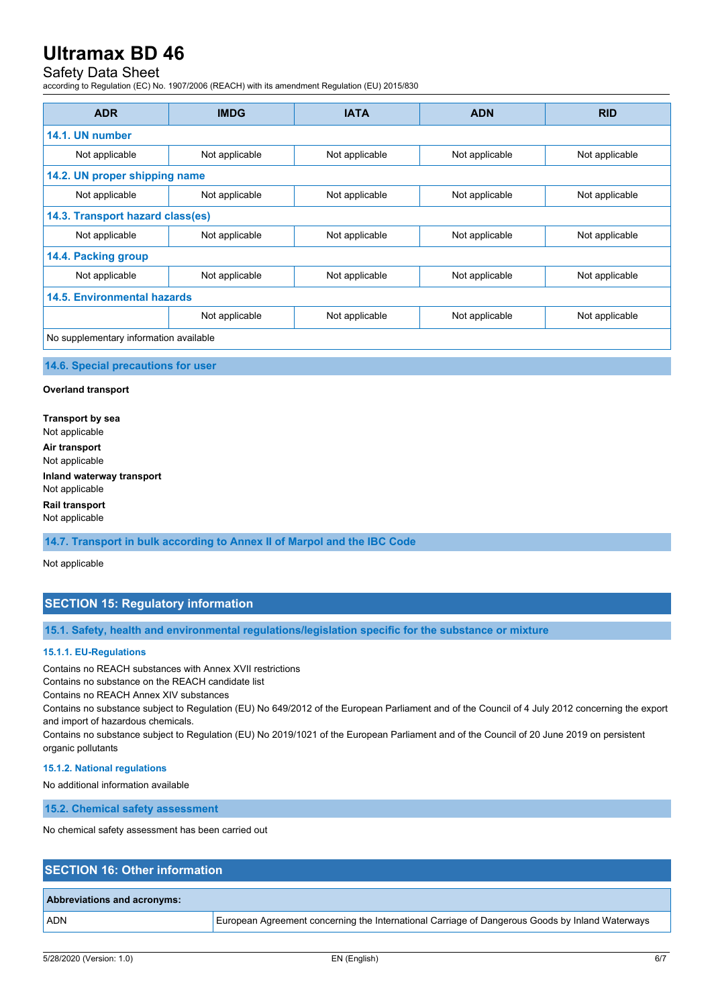# Safety Data Sheet

according to Regulation (EC) No. 1907/2006 (REACH) with its amendment Regulation (EU) 2015/830

| <b>ADR</b>                             | <b>IMDG</b>    | <b>IATA</b>    | <b>ADN</b>     | <b>RID</b>     |  |
|----------------------------------------|----------------|----------------|----------------|----------------|--|
| 14.1. UN number                        |                |                |                |                |  |
| Not applicable                         | Not applicable | Not applicable | Not applicable | Not applicable |  |
| 14.2. UN proper shipping name          |                |                |                |                |  |
| Not applicable                         | Not applicable | Not applicable | Not applicable | Not applicable |  |
| 14.3. Transport hazard class(es)       |                |                |                |                |  |
| Not applicable                         | Not applicable | Not applicable | Not applicable | Not applicable |  |
| 14.4. Packing group                    |                |                |                |                |  |
| Not applicable                         | Not applicable | Not applicable | Not applicable | Not applicable |  |
| 14.5. Environmental hazards            |                |                |                |                |  |
|                                        | Not applicable | Not applicable | Not applicable | Not applicable |  |
| No supplementary information available |                |                |                |                |  |

#### **14.6. Special precautions for user**

#### **Overland transport**

**Transport by sea** Not applicable **Air transport** Not applicable **Inland waterway transport** Not applicable **Rail transport** Not applicable

**14.7. Transport in bulk according to Annex II of Marpol and the IBC Code**

Not applicable

# **SECTION 15: Regulatory information**

#### **15.1. Safety, health and environmental regulations/legislation specific for the substance or mixture**

#### **15.1.1. EU-Regulations**

Contains no REACH substances with Annex XVII restrictions

Contains no substance on the REACH candidate list

Contains no REACH Annex XIV substances

Contains no substance subject to Regulation (EU) No 649/2012 of the European Parliament and of the Council of 4 July 2012 concerning the export and import of hazardous chemicals.

Contains no substance subject to Regulation (EU) No 2019/1021 of the European Parliament and of the Council of 20 June 2019 on persistent organic pollutants

### **15.1.2. National regulations**

No additional information available

**15.2. Chemical safety assessment**

No chemical safety assessment has been carried out

# **SECTION 16: Other information**

#### **Abbreviations and acronyms:**

ADN European Agreement concerning the International Carriage of Dangerous Goods by Inland Waterways